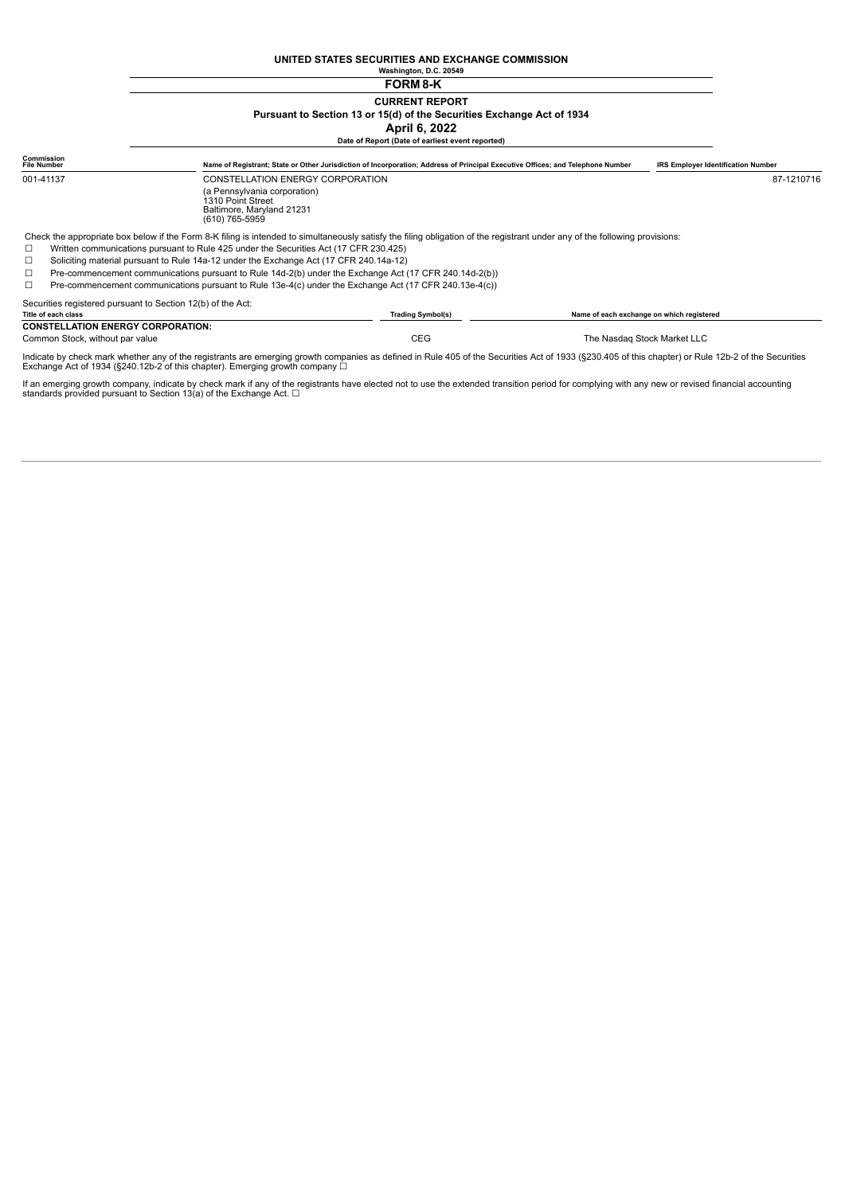#### **UNITED STATES SECURITIES AND EXCHANGE COMMISSION Washington, D.C. 20549**

## **FORM 8-K CURRENT REPORT Pursuant to Section 13 or 15(d) of the Securities Exchange Act of 1934 April 6, 2022**

|                                                                                                                  |                                                                                                                                                                                                                                                                      | Date of Report (Date of earliest event reported)                                                                               |                                           |                                           |  |
|------------------------------------------------------------------------------------------------------------------|----------------------------------------------------------------------------------------------------------------------------------------------------------------------------------------------------------------------------------------------------------------------|--------------------------------------------------------------------------------------------------------------------------------|-------------------------------------------|-------------------------------------------|--|
| Commission<br><b>File Number</b>                                                                                 |                                                                                                                                                                                                                                                                      | Name of Registrant; State or Other Jurisdiction of Incorporation; Address of Principal Executive Offices; and Telephone Number |                                           | <b>IRS Employer Identification Number</b> |  |
| 001-41137                                                                                                        | CONSTELLATION ENERGY CORPORATION                                                                                                                                                                                                                                     |                                                                                                                                |                                           | 87-1210716                                |  |
|                                                                                                                  | (a Pennsylvania corporation)<br>1310 Point Street<br>Baltimore, Maryland 21231<br>(610) 765-5959                                                                                                                                                                     |                                                                                                                                |                                           |                                           |  |
| □                                                                                                                | Check the appropriate box below if the Form 8-K filing is intended to simultaneously satisfy the filing obligation of the registrant under any of the following provisions:<br>Written communications pursuant to Rule 425 under the Securities Act (17 CFR 230.425) |                                                                                                                                |                                           |                                           |  |
| $\Box$                                                                                                           | Soliciting material pursuant to Rule 14a-12 under the Exchange Act (17 CFR 240.14a-12)                                                                                                                                                                               |                                                                                                                                |                                           |                                           |  |
| Pre-commencement communications pursuant to Rule 14d-2(b) under the Exchange Act (17 CFR 240.14d-2(b))<br>$\Box$ |                                                                                                                                                                                                                                                                      |                                                                                                                                |                                           |                                           |  |
|                                                                                                                  | Pre-commencement communications pursuant to Rule 13e-4(c) under the Exchange Act (17 CFR 240.13e-4(c))                                                                                                                                                               |                                                                                                                                |                                           |                                           |  |
| Securities registered pursuant to Section 12(b) of the Act:                                                      |                                                                                                                                                                                                                                                                      |                                                                                                                                |                                           |                                           |  |
| Title of each class                                                                                              |                                                                                                                                                                                                                                                                      | <b>Trading Symbol(s)</b>                                                                                                       | Name of each exchange on which registered |                                           |  |
| <b>CONSTELLATION ENERGY CORPORATION:</b>                                                                         |                                                                                                                                                                                                                                                                      |                                                                                                                                |                                           |                                           |  |
| Common Stock, without par value                                                                                  |                                                                                                                                                                                                                                                                      | <b>CEG</b>                                                                                                                     |                                           | The Nasdag Stock Market LLC               |  |
|                                                                                                                  | Indicate by check mark whether any of the registrante are emerging growth companies as defined in Pule 105 of the Cogurities Act of 1023 (8220 105 of this chapter) or Pule 12b 3 of the Cogurities                                                                  |                                                                                                                                |                                           |                                           |  |

is as defined in Rule 405 of the Securities Act of 1933 (§230.405 of this chapter) or Rule 12b-2 of the Secur Indicate by check mark whether any of the registrants are emerging growth company  $\Box$ <br>Exchange Act of 1934 (§240.12b-2 of this chapter). Emerging growth company  $\Box$ 

If an emerging growth company, indicate by check mark if any of the registrants have elected not to use the extended transition period for complying with any new or revised financial accounting<br>standards provided pursuant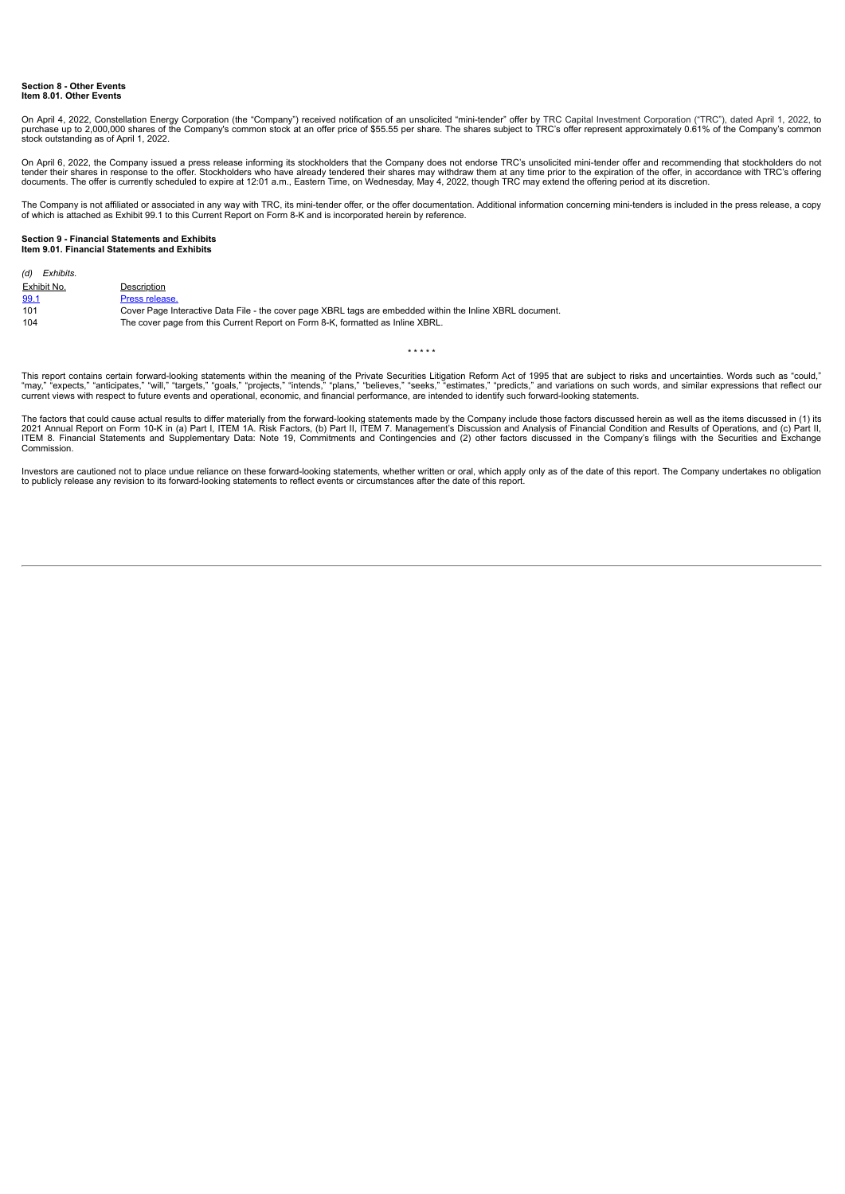#### **Section 8 - Other Events Item 8.01. Other Events**

On April 4, 2022, Constellation Energy Corporation (the "Company") received notification of an unsolicited "mini-tender" offer by TRC Capital Investment Corporation ("TRC"), dated April 1, 2022, to purchase up to 2,000,000 shares of the Company's common stock at an offer price of \$55.55 per share. The shares subject to TRC's offer represent approximately 0.61% of the Company's common<br>stock outstanding as of April 1,

On April 6, 2022, the Company issued a press release informing its stockholders that the Company does not endorse TRC's unsolicited mini-tender offer and recommending that stockholders do not<br>tender their shares in respons

The Company is not affiliated or associated in any way with TRC, its mini-tender offer, or the offer documentation. Additional information concerning mini-tenders is included in the press release, a copy<br>of which is attach

#### **Section 9 - Financial Statements and Exhibits Item 9.01. Financial Statements and Exhibits**

| (d) Exhibits. |                                                                                                           |
|---------------|-----------------------------------------------------------------------------------------------------------|
| Exhibit No.   | Description                                                                                               |
| 99.1          | Press release.                                                                                            |
| 101           | Cover Page Interactive Data File - the cover page XBRL tags are embedded within the Inline XBRL document. |
| 104           | The cover page from this Current Report on Form 8-K, formatted as Inline XBRL.                            |

This report contains certain forward-looking statements within the meaning of the Private Securities Litigation Reform Act of 1995 that are subject to risks and uncertainties. Words such as "could,"<br>"may," "expects," "anti

\* \* \* \* \*

The factors that could cause actual results to differ materially from the forward-looking statements made by the Company include those factors discussed herein as well as the items discussed in (1) its<br>2021 Annual Report o **Commission** 

Investors are cautioned not to place undue reliance on these forward-looking statements, whether written or oral, which apply only as of the date of this report. The Company undertakes no obligation<br>to publicly release any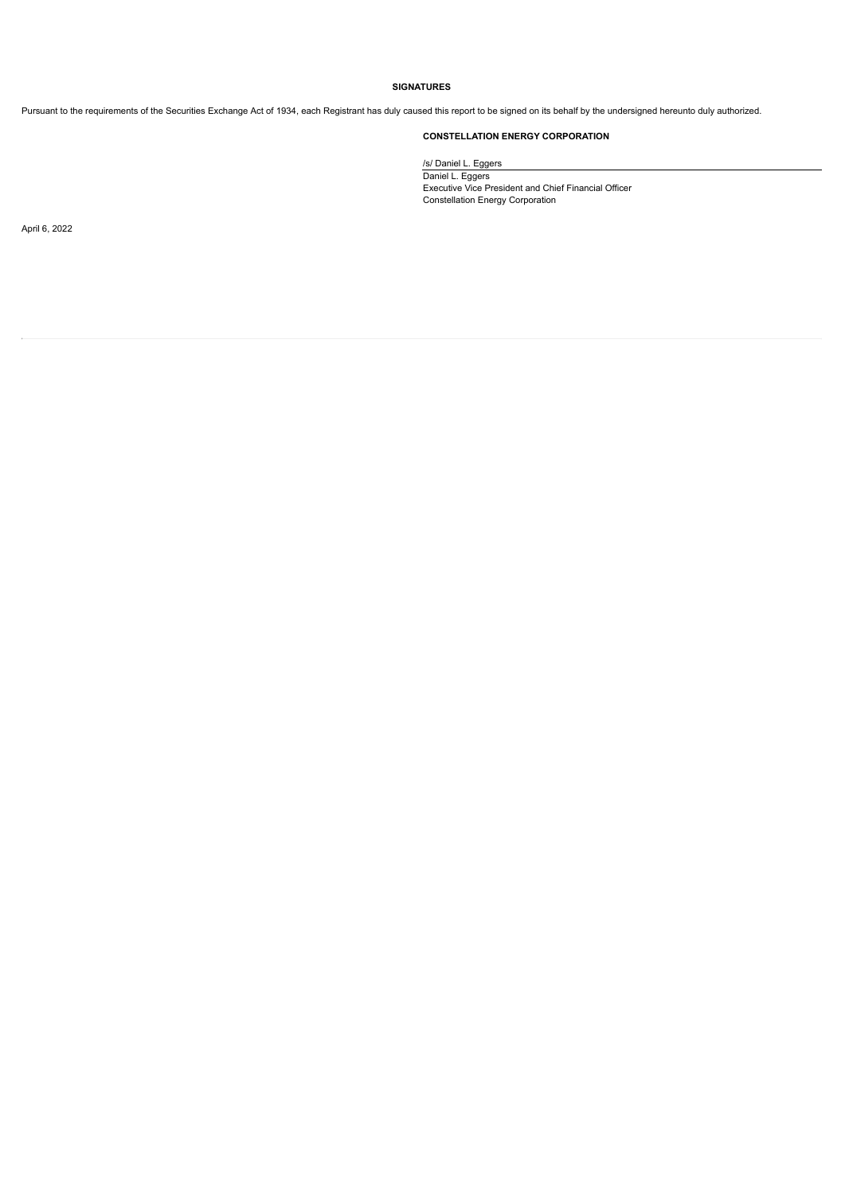### **SIGNATURES**

Pursuant to the requirements of the Securities Exchange Act of 1934, each Registrant has duly caused this report to be signed on its behalf by the undersigned hereunto duly authorized.

## **CONSTELLATION ENERGY CORPORATION**

/s/ Daniel L. Eggers Daniel L. Eggers Executive Vice President and Chief Financial Officer Constellation Energy Corporation

April 6, 2022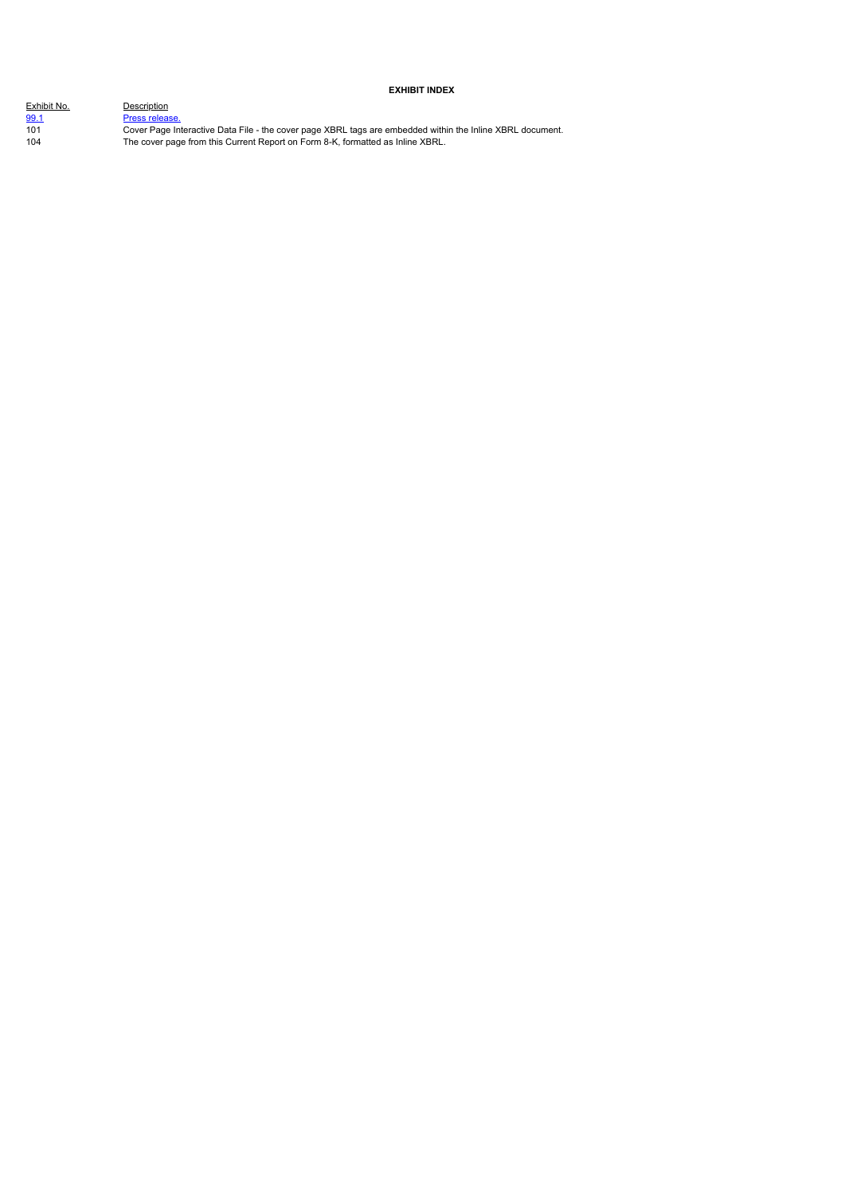## **EXHIBIT INDEX**

| Exhibit No. | Description    |
|-------------|----------------|
| 99.1        | Press release. |
| 101         | Cover Page Int |
| 104         | The cover page |
|             |                |

101 Cover Page Interactive Data File - the cover page XBRL tags are embedded within the Inline XBRL document. 104 The cover page from this Current Report on Form 8-K, formatted as Inline XBRL.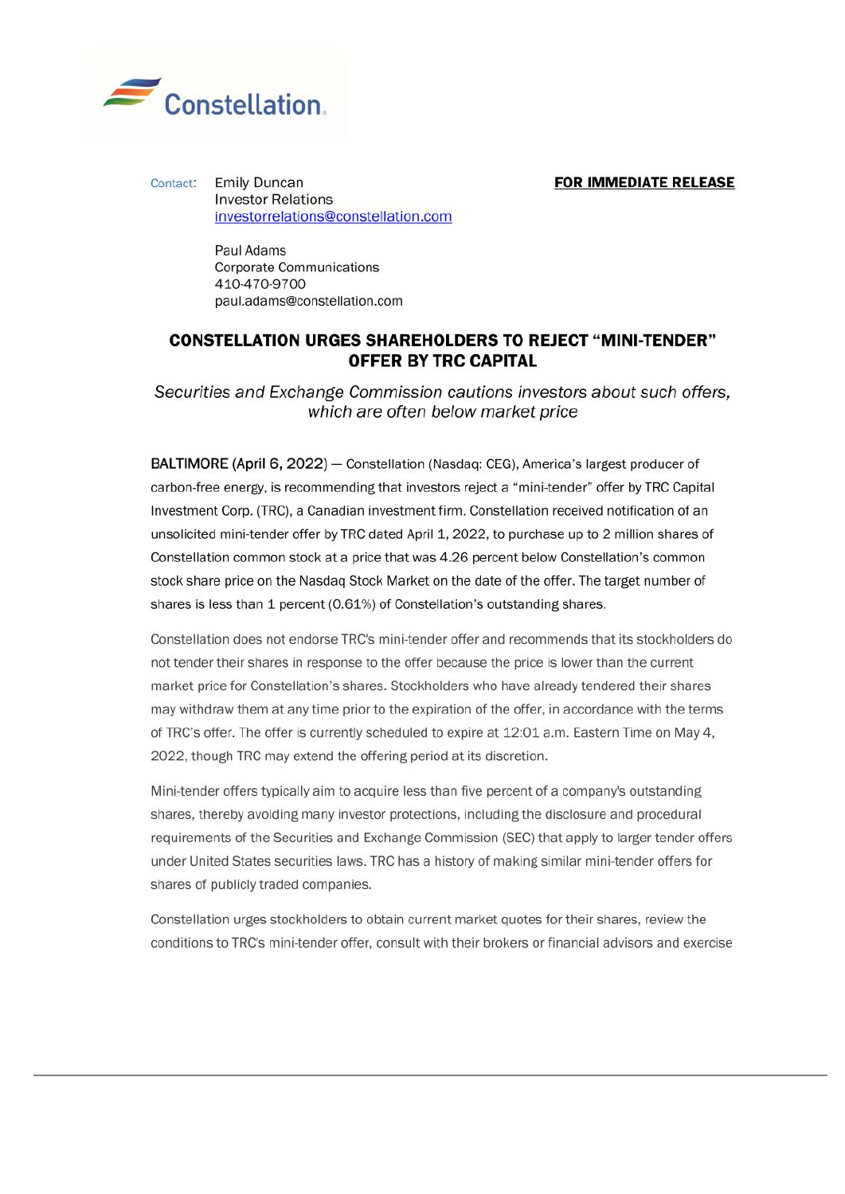<span id="page-4-0"></span>

## **FOR IMMEDIATE RELEASE**

**Emily Duncan** Contact: **Investor Relations** investorrelations@constellation.com

> Paul Adams **Corporate Communications** 410-470-9700 paul.adams@constellation.com

# **CONSTELLATION URGES SHAREHOLDERS TO REJECT "MINI-TENDER" OFFER BY TRC CAPITAL**

Securities and Exchange Commission cautions investors about such offers. which are often below market price

BALTIMORE (April 6, 2022) - Constellation (Nasdaq: CEG), America's largest producer of carbon-free energy, is recommending that investors reject a "mini-tender" offer by TRC Capital Investment Corp. (TRC), a Canadian investment firm. Constellation received notification of an unsolicited mini-tender offer by TRC dated April 1, 2022, to purchase up to 2 million shares of Constellation common stock at a price that was 4.26 percent below Constellation's common stock share price on the Nasdaq Stock Market on the date of the offer. The target number of shares is less than 1 percent (0.61%) of Constellation's outstanding shares.

Constellation does not endorse TRC's mini-tender offer and recommends that its stockholders do not tender their shares in response to the offer because the price is lower than the current market price for Constellation's shares. Stockholders who have already tendered their shares may withdraw them at any time prior to the expiration of the offer, in accordance with the terms of TRC's offer. The offer is currently scheduled to expire at 12:01 a.m. Eastern Time on May 4. 2022, though TRC may extend the offering period at its discretion.

Mini-tender offers typically aim to acquire less than five percent of a company's outstanding shares, thereby avoiding many investor protections, including the disclosure and procedural requirements of the Securities and Exchange Commission (SEC) that apply to larger tender offers under United States securities laws. TRC has a history of making similar mini-tender offers for shares of publicly traded companies.

Constellation urges stockholders to obtain current market quotes for their shares, review the conditions to TRC's mini-tender offer, consult with their brokers or financial advisors and exercise